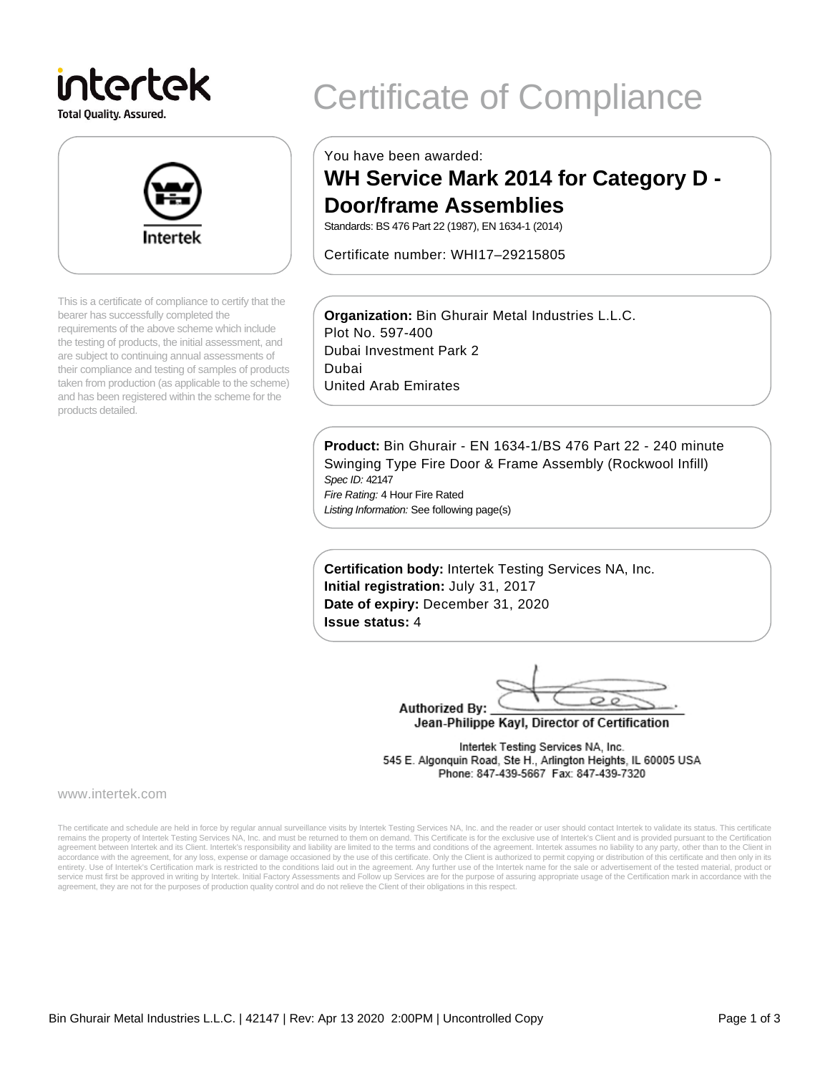# intertek

**Total Quality. Assured.** 



This is a certificate of compliance to certify that the bearer has successfully completed the requirements of the above scheme which include the testing of products, the initial assessment, and are subject to continuing annual assessments of their compliance and testing of samples of products taken from production (as applicable to the scheme) and has been registered within the scheme for the products detailed.

## Certificate of Compliance

You have been awarded:

### **WH Service Mark 2014 for Category D - Door/frame Assemblies**

Standards: BS 476 Part 22 (1987), EN 1634-1 (2014)

Certificate number: WHI17–29215805

**Organization:** Bin Ghurair Metal Industries L.L.C. Plot No. 597-400 Dubai Investment Park 2 Dubai United Arab Emirates

**Product:** Bin Ghurair - EN 1634-1/BS 476 Part 22 - 240 minute Swinging Type Fire Door & Frame Assembly (Rockwool Infill) Spec ID: 42147 Fire Rating: 4 Hour Fire Rated

Listing Information: See following page(s)

**Certification body:** Intertek Testing Services NA, Inc. **Initial registration:** July 31, 2017 **Date of expiry:** December 31, 2020 **Issue status:** 4

 $\circ$ **Authorized By:** 

Jean-Philippe Kayl, Director of Certification

Intertek Testing Services NA, Inc. 545 E. Algonquin Road, Ste H., Arlington Heights, IL 60005 USA Phone: 847-439-5667 Fax: 847-439-7320

www.intertek.com

The certificate and schedule are held in force by regular annual surveillance visits by Intertek Testing Services NA, Inc. and the reader or user should contact Intertek to validate its status. This certificate remains the property of Intertek Testing Services NA, Inc. and must be returned to them on demand. This Certificate is for the exclusive use of Intertek's Client and is provided pursuant to the Certification agreement between Intertek and its Client. Intertek's responsibility and liability are limited to the terms and conditions of the agreement. Intertek assumes no liability to any party, other than to the Client in accordance with the agreement, for any loss, expense or damage occasioned by the use of this certificate. Only the Client is authorized to permit copying or distribution of this certificate and then only in its<br>entirety. U service must first be approved in writing by Intertek. Initial Factory Assessments and Follow up Services are for the purpose of assuring appropriate usage of the Certification mark in accordance with the agreement, they are not for the purposes of production quality control and do not relieve the Client of their obligations in this respect.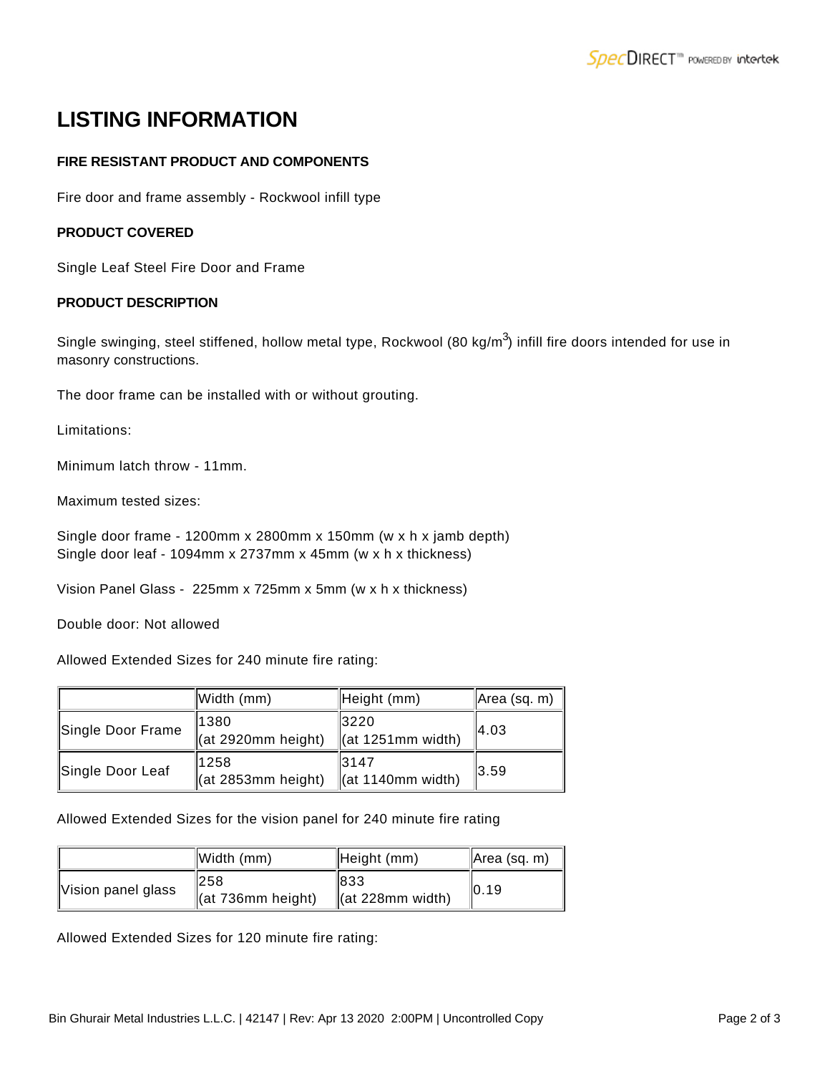## **LISTING INFORMATION**

#### **FIRE RESISTANT PRODUCT AND COMPONENTS**

Fire door and frame assembly - Rockwool infill type

#### **PRODUCT COVERED**

Single Leaf Steel Fire Door and Frame

#### **PRODUCT DESCRIPTION**

Single swinging, steel stiffened, hollow metal type, Rockwool (80 kg/m $^3$ ) infill fire doors intended for use in masonry constructions.

The door frame can be installed with or without grouting.

Limitations:

Minimum latch throw - 11mm.

Maximum tested sizes:

Single door frame - 1200mm x 2800mm x 150mm (w x h x jamb depth) Single door leaf - 1094mm x 2737mm x 45mm (w x h x thickness)

Vision Panel Glass - 225mm x 725mm x 5mm (w x h x thickness)

Double door: Not allowed

Allowed Extended Sizes for 240 minute fire rating:

|                   | Width (mm)                          | Height (mm)                             | Area (sq. m) |
|-------------------|-------------------------------------|-----------------------------------------|--------------|
| Single Door Frame | 1380<br>$\ $ (at 2920mm height)     | 3220<br>$\ $ (at 1251mm width)          | 14.03        |
| Single Door Leaf  | 11258<br>$\vert$ (at 2853mm height) | 13147<br>$\left\vert$ (at 1140mm width) | 13.59        |

Allowed Extended Sizes for the vision panel for 240 minute fire rating

|                    | Width (mm)                     | Height (mm)                          | Area (sq. m) |
|--------------------|--------------------------------|--------------------------------------|--------------|
| Vision panel glass | 1258<br>$\ $ (at 736mm height) | 1833<br>$\parallel$ (at 228mm width) | 10.19        |

Allowed Extended Sizes for 120 minute fire rating: